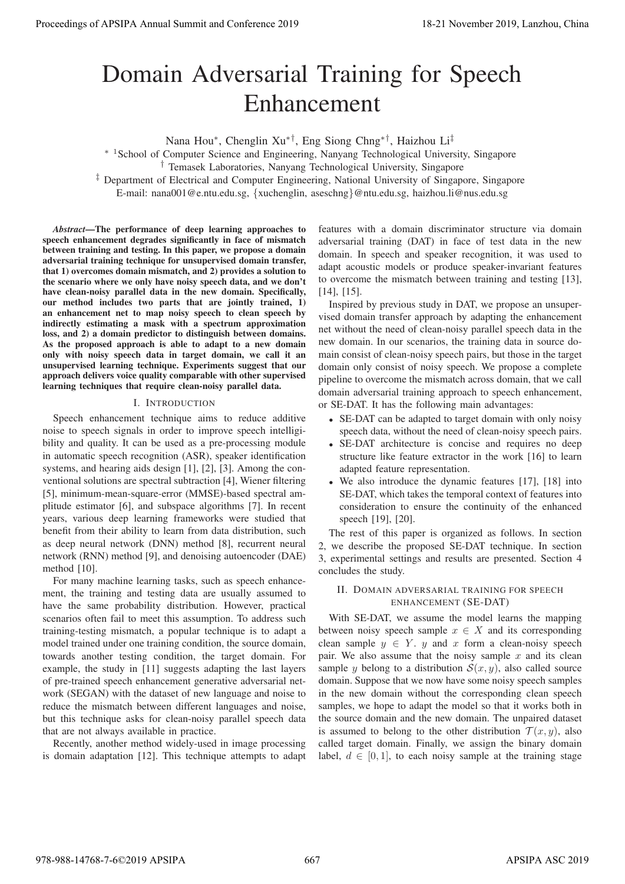# Domain Adversarial Training for Speech Enhancement

Nana Hou∗, Chenglin Xu∗†, Eng Siong Chng∗†, Haizhou Li‡

∗ <sup>1</sup>School of Computer Science and Engineering, Nanyang Technological University, Singapore

‡ Department of Electrical and Computer Engineering, National University of Singapore, Singapore

E-mail: nana001@e.ntu.edu.sg, {xuchenglin, aseschng}@ntu.edu.sg, haizhou.li@nus.edu.sg

*Abstract*—The performance of deep learning approaches to speech enhancement degrades significantly in face of mismatch between training and testing. In this paper, we propose a domain adversarial training technique for unsupervised domain transfer, that 1) overcomes domain mismatch, and 2) provides a solution to the scenario where we only have noisy speech data, and we don't have clean-noisy parallel data in the new domain. Specifically, our method includes two parts that are jointly trained, 1) an enhancement net to map noisy speech to clean speech by indirectly estimating a mask with a spectrum approximation loss, and 2) a domain predictor to distinguish between domains. As the proposed approach is able to adapt to a new domain only with noisy speech data in target domain, we call it an unsupervised learning technique. Experiments suggest that our approach delivers voice quality comparable with other supervised learning techniques that require clean-noisy parallel data. **Proceedings of APSIPA Annual Summit at Co-Co-ex-2019**<br> **Process of APSIPA Annual Summit and Conference 2019**<br> **Process of APSIPA Annual Summit and Conference 2019**<br> **Process of APSIPA Annual Summit and Conference 2019**<br>

## I. INTRODUCTION

Speech enhancement technique aims to reduce additive noise to speech signals in order to improve speech intelligibility and quality. It can be used as a pre-processing module in automatic speech recognition (ASR), speaker identification systems, and hearing aids design [1], [2], [3]. Among the conventional solutions are spectral subtraction [4], Wiener filtering [5], minimum-mean-square-error (MMSE)-based spectral amplitude estimator [6], and subspace algorithms [7]. In recent years, various deep learning frameworks were studied that benefit from their ability to learn from data distribution, such as deep neural network (DNN) method [8], recurrent neural network (RNN) method [9], and denoising autoencoder (DAE) method [10].

For many machine learning tasks, such as speech enhancement, the training and testing data are usually assumed to have the same probability distribution. However, practical scenarios often fail to meet this assumption. To address such training-testing mismatch, a popular technique is to adapt a model trained under one training condition, the source domain, towards another testing condition, the target domain. For example, the study in [11] suggests adapting the last layers of pre-trained speech enhancement generative adversarial network (SEGAN) with the dataset of new language and noise to reduce the mismatch between different languages and noise, but this technique asks for clean-noisy parallel speech data that are not always available in practice.

Recently, another method widely-used in image processing is domain adaptation [12]. This technique attempts to adapt

features with a domain discriminator structure via domain adversarial training (DAT) in face of test data in the new domain. In speech and speaker recognition, it was used to adapt acoustic models or produce speaker-invariant features to overcome the mismatch between training and testing [13], [14], [15].

Inspired by previous study in DAT, we propose an unsupervised domain transfer approach by adapting the enhancement net without the need of clean-noisy parallel speech data in the new domain. In our scenarios, the training data in source domain consist of clean-noisy speech pairs, but those in the target domain only consist of noisy speech. We propose a complete pipeline to overcome the mismatch across domain, that we call domain adversarial training approach to speech enhancement, or SE-DAT. It has the following main advantages:

- SE-DAT can be adapted to target domain with only noisy speech data, without the need of clean-noisy speech pairs.
- SE-DAT architecture is concise and requires no deep structure like feature extractor in the work [16] to learn adapted feature representation.
- We also introduce the dynamic features [17], [18] into SE-DAT, which takes the temporal context of features into consideration to ensure the continuity of the enhanced speech [19], [20].

The rest of this paper is organized as follows. In section 2, we describe the proposed SE-DAT technique. In section 3, experimental settings and results are presented. Section 4 concludes the study.

# II. DOMAIN ADVERSARIAL TRAINING FOR SPEECH ENHANCEMENT (SE-DAT)

With SE-DAT, we assume the model learns the mapping between noisy speech sample  $x \in X$  and its corresponding clean sample  $y \in Y$ . y and x form a clean-noisy speech pair. We also assume that the noisy sample  $x$  and its clean sample y belong to a distribution  $S(x, y)$ , also called source domain. Suppose that we now have some noisy speech samples in the new domain without the corresponding clean speech samples, we hope to adapt the model so that it works both in the source domain and the new domain. The unpaired dataset is assumed to belong to the other distribution  $\mathcal{T}(x, y)$ , also called target domain. Finally, we assign the binary domain label,  $d \in [0, 1]$ , to each noisy sample at the training stage

<sup>†</sup> Temasek Laboratories, Nanyang Technological University, Singapore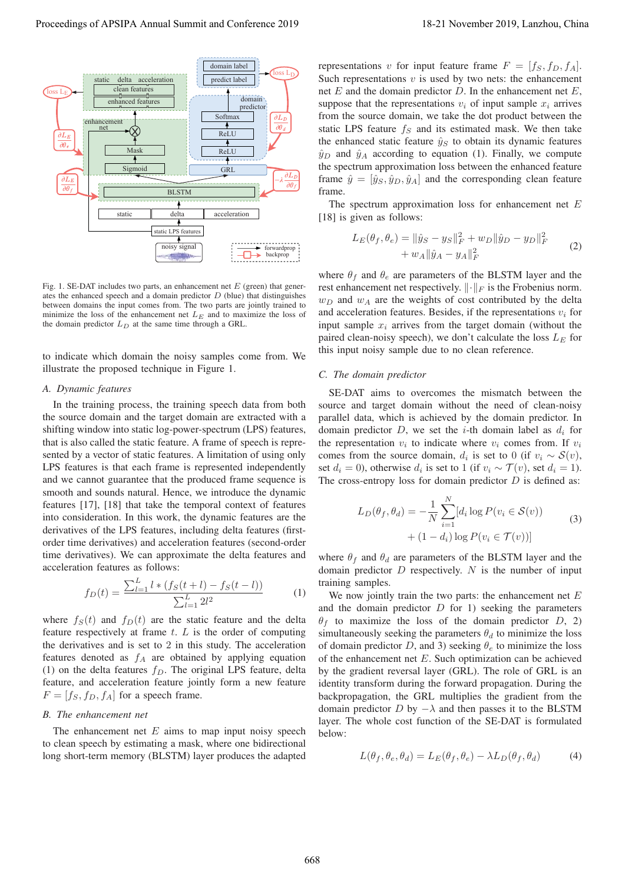

 noisy signal forwardprop backprop Fig. 1. SE-DAT includes two parts, an enhancement net  $E$  (green) that gener-

static LPS features

ates the enhanced speech and a domain predictor  $D$  (blue) that distinguishes between domains the input comes from. The two parts are jointly trained to minimize the loss of the enhancement net  $L_E$  and to maximize the loss of the domain predictor  $L_D$  at the same time through a GRL.

to indicate which domain the noisy samples come from. We illustrate the proposed technique in Figure 1.

# *A. Dynamic features*

In the training process, the training speech data from both the source domain and the target domain are extracted with a shifting window into static log-power-spectrum (LPS) features, that is also called the static feature. A frame of speech is represented by a vector of static features. A limitation of using only LPS features is that each frame is represented independently and we cannot guarantee that the produced frame sequence is smooth and sounds natural. Hence, we introduce the dynamic features [17], [18] that take the temporal context of features into consideration. In this work, the dynamic features are the derivatives of the LPS features, including delta features (firstorder time derivatives) and acceleration features (second-order time derivatives). We can approximate the delta features and acceleration features as follows: Proceedings of APSIPA Annual Summit at Co-Co-Co-CO 2019<br>
Proceedings of APSIPA Annual Summit at Co-Co-Co-CO 2019<br>
2018 at Proceedings of APSIPA Annual Summit at Co-Co-CO 2019<br>
2018 at Proceedings of APSIPA Annual Summit a

$$
f_D(t) = \frac{\sum_{l=1}^{L} l * (f_S(t+l) - f_S(t-l))}{\sum_{l=1}^{L} 2l^2} \tag{1}
$$

where  $f_S(t)$  and  $f_D(t)$  are the static feature and the delta feature respectively at frame  $t$ .  $L$  is the order of computing the derivatives and is set to 2 in this study. The acceleration features denoted as  $f_A$  are obtained by applying equation (1) on the delta features  $f_D$ . The original LPS feature, delta feature, and acceleration feature jointly form a new feature  $F = [f<sub>S</sub>, f<sub>D</sub>, f<sub>A</sub>]$  for a speech frame.

### *B. The enhancement net*

The enhancement net  $E$  aims to map input noisy speech to clean speech by estimating a mask, where one bidirectional long short-term memory (BLSTM) layer produces the adapted representations v for input feature frame  $F = [f_S, f_D, f_A]$ . Such representations  $v$  is used by two nets: the enhancement net  $E$  and the domain predictor  $D$ . In the enhancement net  $E$ , suppose that the representations  $v_i$  of input sample  $x_i$  arrives from the source domain, we take the dot product between the static LPS feature  $f<sub>S</sub>$  and its estimated mask. We then take the enhanced static feature  $\hat{y}_S$  to obtain its dynamic features  $\hat{y}_D$  and  $\hat{y}_A$  according to equation (1). Finally, we compute the spectrum approximation loss between the enhanced feature frame  $\hat{y} = [\hat{y}_S, \hat{y}_D, \hat{y}_A]$  and the corresponding clean feature frame.

The spectrum approximation loss for enhancement net  $E$ [18] is given as follows:

$$
L_E(\theta_f, \theta_e) = \|\hat{y}_S - y_S\|_F^2 + w_D \|\hat{y}_D - y_D\|_F^2 + w_A \|\hat{y}_A - y_A\|_F^2
$$
 (2)

where  $\theta_f$  and  $\theta_e$  are parameters of the BLSTM layer and the rest enhancement net respectively.  $\|\cdot\|_F$  is the Frobenius norm.  $w_D$  and  $w_A$  are the weights of cost contributed by the delta and acceleration features. Besides, if the representations  $v_i$  for input sample  $x_i$  arrives from the target domain (without the paired clean-noisy speech), we don't calculate the loss  $L<sub>E</sub>$  for this input noisy sample due to no clean reference.

## *C. The domain predictor*

SE-DAT aims to overcomes the mismatch between the source and target domain without the need of clean-noisy parallel data, which is achieved by the domain predictor. In domain predictor  $D$ , we set the *i*-th domain label as  $d_i$  for the representation  $v_i$  to indicate where  $v_i$  comes from. If  $v_i$ comes from the source domain,  $d_i$  is set to 0 (if  $v_i \sim S(v)$ , set  $d_i = 0$ ), otherwise  $d_i$  is set to 1 (if  $v_i \sim \mathcal{T}(v)$ , set  $d_i = 1$ ). The cross-entropy loss for domain predictor  $D$  is defined as:

$$
L_D(\theta_f, \theta_d) = -\frac{1}{N} \sum_{i=1}^N [d_i \log P(v_i \in \mathcal{S}(v))
$$
  
 
$$
+ (1 - d_i) \log P(v_i \in \mathcal{T}(v))]
$$
 (3)

where  $\theta_f$  and  $\theta_d$  are parameters of the BLSTM layer and the domain predictor  $D$  respectively.  $N$  is the number of input training samples.

We now jointly train the two parts: the enhancement net  $E$ and the domain predictor  $D$  for 1) seeking the parameters  $\theta_f$  to maximize the loss of the domain predictor D, 2) simultaneously seeking the parameters  $\theta_d$  to minimize the loss of domain predictor D, and 3) seeking  $\theta_e$  to minimize the loss of the enhancement net  $E$ . Such optimization can be achieved by the gradient reversal layer (GRL). The role of GRL is an identity transform during the forward propagation. During the backpropagation, the GRL multiplies the gradient from the domain predictor D by  $-\lambda$  and then passes it to the BLSTM layer. The whole cost function of the SE-DAT is formulated below:

$$
L(\theta_f, \theta_e, \theta_d) = L_E(\theta_f, \theta_e) - \lambda L_D(\theta_f, \theta_d)
$$
 (4)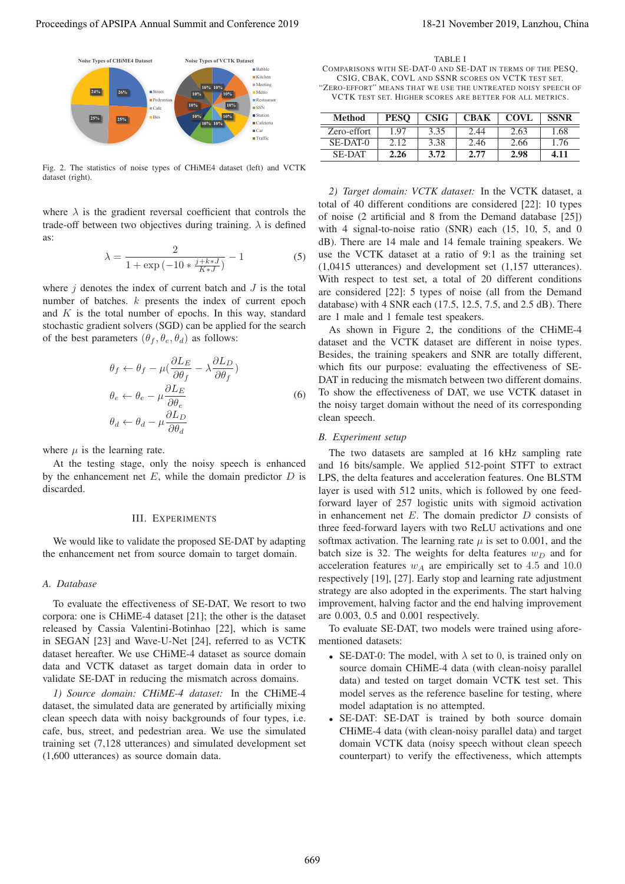

Fig. 2. The statistics of noise types of CHiME4 dataset (left) and VCTK dataset (right).

where  $\lambda$  is the gradient reversal coefficient that controls the trade-off between two objectives during training.  $\lambda$  is defined as:

$$
\lambda = \frac{2}{1 + \exp(-10 * \frac{j + k * J}{K * J})} - 1
$$
 (5)

where  $j$  denotes the index of current batch and  $J$  is the total number of batches. k presents the index of current epoch and  $K$  is the total number of epochs. In this way, standard stochastic gradient solvers (SGD) can be applied for the search of the best parameters  $(\theta_f, \theta_e, \theta_d)$  as follows:

$$
\theta_f \leftarrow \theta_f - \mu \left( \frac{\partial L_E}{\partial \theta_f} - \lambda \frac{\partial L_D}{\partial \theta_f} \right)
$$
  
\n
$$
\theta_e \leftarrow \theta_e - \mu \frac{\partial L_E}{\partial \theta_e}
$$
  
\n
$$
\theta_d \leftarrow \theta_d - \mu \frac{\partial L_D}{\partial \theta_d}
$$
 (6)

where  $\mu$  is the learning rate.

At the testing stage, only the noisy speech is enhanced by the enhancement net  $E$ , while the domain predictor  $D$  is discarded.

#### III. EXPERIMENTS

We would like to validate the proposed SE-DAT by adapting the enhancement net from source domain to target domain.

## *A. Database*

To evaluate the effectiveness of SE-DAT, We resort to two corpora: one is CHiME-4 dataset [21]; the other is the dataset released by Cassia Valentini-Botinhao [22], which is same in SEGAN [23] and Wave-U-Net [24], referred to as VCTK dataset hereafter. We use CHiME-4 dataset as source domain data and VCTK dataset as target domain data in order to validate SE-DAT in reducing the mismatch across domains.

*1) Source domain: CHiME-4 dataset:* In the CHiME-4 dataset, the simulated data are generated by artificially mixing clean speech data with noisy backgrounds of four types, i.e. cafe, bus, street, and pedestrian area. We use the simulated training set (7,128 utterances) and simulated development set (1,600 utterances) as source domain data.

TABLE I

COMPARISONS WITH SE-DAT-0 AND SE-DAT IN TERMS OF THE PESQ, CSIG, CBAK, COVL AND SSNR SCORES ON VCTK TEST SET. "ZERO-EFFORT" MEANS THAT WE USE THE UNTREATED NOISY SPEECH OF VCTK TEST SET. HIGHER SCORES ARE BETTER FOR ALL METRICS.

| <b>Method</b> | <b>PESO</b> | <b>CSIG</b> | <b>CBAK</b> | <b>COVL</b> | <b>SSNR</b> |
|---------------|-------------|-------------|-------------|-------------|-------------|
| Zero-effort   | -97         | 3.35        | 2.44        | 2.63        | .68         |
| SE-DAT-0      |             | 3.38        | 2.46        | 2.66        | 1.76        |
| <b>SE-DAT</b> | 2.26        | 3.72        | 2.77        | 2.98        | 4.11        |

*2) Target domain: VCTK dataset:* In the VCTK dataset, a total of 40 different conditions are considered [22]: 10 types of noise (2 artificial and 8 from the Demand database [25]) with 4 signal-to-noise ratio (SNR) each (15, 10, 5, and 0 dB). There are 14 male and 14 female training speakers. We use the VCTK dataset at a ratio of 9:1 as the training set (1,0415 utterances) and development set (1,157 utterances). With respect to test set, a total of 20 different conditions are considered [22]: 5 types of noise (all from the Demand database) with 4 SNR each (17.5, 12.5, 7.5, and 2.5 dB). There are 1 male and 1 female test speakers.

As shown in Figure 2, the conditions of the CHiME-4 dataset and the VCTK dataset are different in noise types. Besides, the training speakers and SNR are totally different, which fits our purpose: evaluating the effectiveness of SE-DAT in reducing the mismatch between two different domains. To show the effectiveness of DAT, we use VCTK dataset in the noisy target domain without the need of its corresponding clean speech.

#### *B. Experiment setup*

The two datasets are sampled at 16 kHz sampling rate and 16 bits/sample. We applied 512-point STFT to extract LPS, the delta features and acceleration features. One BLSTM layer is used with 512 units, which is followed by one feedforward layer of 257 logistic units with sigmoid activation in enhancement net  $E$ . The domain predictor  $D$  consists of three feed-forward layers with two ReLU activations and one softmax activation. The learning rate  $\mu$  is set to 0.001, and the batch size is 32. The weights for delta features  $w_D$  and for acceleration features  $w_A$  are empirically set to 4.5 and 10.0 respectively [19], [27]. Early stop and learning rate adjustment strategy are also adopted in the experiments. The start halving improvement, halving factor and the end halving improvement are 0.003, 0.5 and 0.001 respectively. Proceeding of APSIPA Annual Summit of Civic port 2019<br>
Proceedings of APSIPA Annual Summit and Conference 2019<br>
Proceedings of Conference 2019<br>
Proceedings of Conference 2019<br>
Proceedings of Conference 2019<br>
Proceedings o

To evaluate SE-DAT, two models were trained using aforementioned datasets:

- SE-DAT-0: The model, with  $\lambda$  set to 0, is trained only on source domain CHiME-4 data (with clean-noisy parallel data) and tested on target domain VCTK test set. This model serves as the reference baseline for testing, where model adaptation is no attempted.
- SE-DAT: SE-DAT is trained by both source domain CHiME-4 data (with clean-noisy parallel data) and target domain VCTK data (noisy speech without clean speech counterpart) to verify the effectiveness, which attempts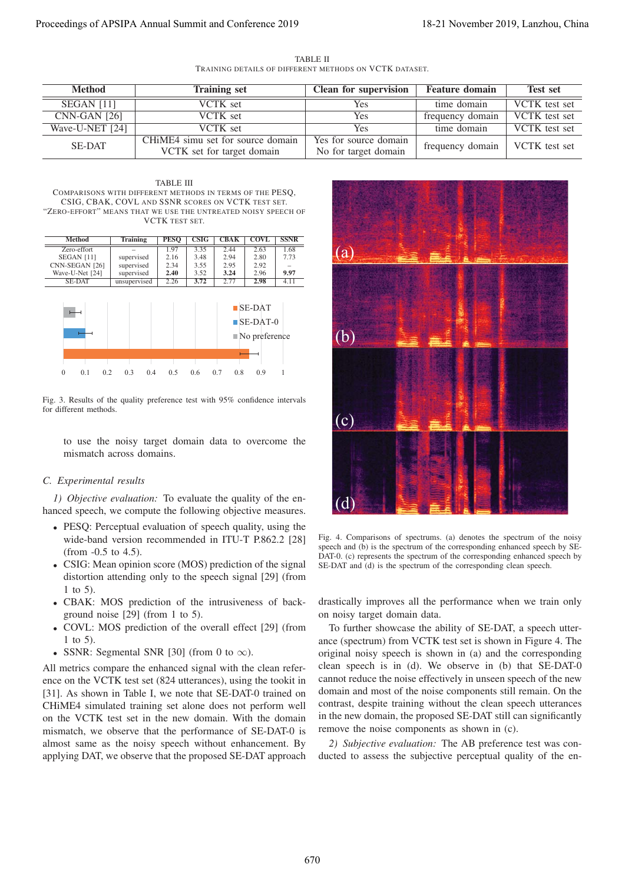TABLE II TRAINING DETAILS OF DIFFERENT METHODS ON VCTK DATASET.

| Method                | <b>Training set</b>               | <b>Clean for supervision</b> | <b>Feature domain</b> | <b>Test set</b> |
|-----------------------|-----------------------------------|------------------------------|-----------------------|-----------------|
| SEGAN <sub>[11]</sub> | VCTK set                          | Yes.                         | time domain           | VCTK test set   |
| $CNN-GAN [26]$        | VCTK set                          | Yes                          | frequency domain      | VCTK test set   |
| Wave-U-NET [24]       | VCTK set                          | Yes                          | time domain           | VCTK test set   |
| <b>SE-DAT</b>         | CHIME4 simu set for source domain | Yes for source domain        | frequency domain      | VCTK test set   |
|                       | VCTK set for target domain        | No for target domain         |                       |                 |

TABLE III COMPARISONS WITH DIFFERENT METHODS IN TERMS OF THE PESO CSIG, CBAK, COVL AND SSNR SCORES ON VCTK TEST SET. "ZERO-EFFORT" MEANS THAT WE USE THE UNTREATED NOISY SPEECH OF VCTK TEST SET.



Fig. 3. Results of the quality preference test with 95% confidence intervals for different methods.

to use the noisy target domain data to overcome the mismatch across domains.

# *C. Experimental results*

*1) Objective evaluation:* To evaluate the quality of the enhanced speech, we compute the following objective measures.

- PESQ: Perceptual evaluation of speech quality, using the wide-band version recommended in ITU-T P.862.2 [28] (from -0.5 to 4.5).
- CSIG: Mean opinion score (MOS) prediction of the signal distortion attending only to the speech signal [29] (from 1 to 5).
- CBAK: MOS prediction of the intrusiveness of background noise [29] (from 1 to 5).
- COVL: MOS prediction of the overall effect [29] (from 1 to 5).
- SSNR: Segmental SNR [30] (from 0 to  $\infty$ ).

All metrics compare the enhanced signal with the clean reference on the VCTK test set (824 utterances), using the tookit in [31]. As shown in Table I, we note that SE-DAT-0 trained on CHiME4 simulated training set alone does not perform well on the VCTK test set in the new domain. With the domain mismatch, we observe that the performance of SE-DAT-0 is almost same as the noisy speech without enhancement. By applying DAT, we observe that the proposed SE-DAT approach



Fig. 4. Comparisons of spectrums. (a) denotes the spectrum of the noisy speech and (b) is the spectrum of the corresponding enhanced speech by SE-DAT-0. (c) represents the spectrum of the corresponding enhanced speech by SE-DAT and (d) is the spectrum of the corresponding clean speech.

drastically improves all the performance when we train only on noisy target domain data.

To further showcase the ability of SE-DAT, a speech utterance (spectrum) from VCTK test set is shown in Figure 4. The original noisy speech is shown in (a) and the corresponding clean speech is in (d). We observe in (b) that SE-DAT-0 cannot reduce the noise effectively in unseen speech of the new domain and most of the noise components still remain. On the contrast, despite training without the clean speech utterances in the new domain, the proposed SE-DAT still can significantly remove the noise components as shown in (c).

*2) Subjective evaluation:* The AB preference test was conducted to assess the subjective perceptual quality of the en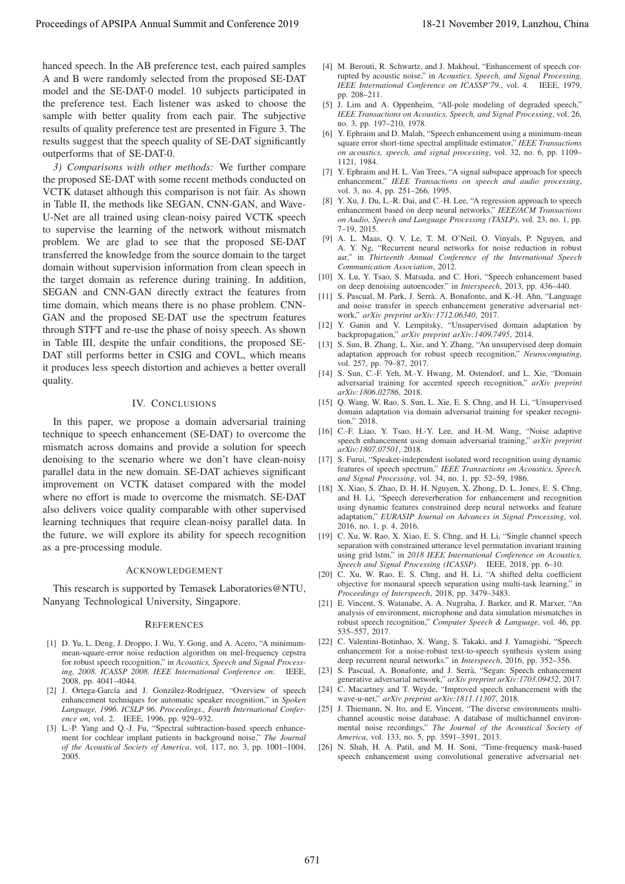hanced speech. In the AB preference test, each paired samples A and B were randomly selected from the proposed SE-DAT model and the SE-DAT-0 model. 10 subjects participated in the preference test. Each listener was asked to choose the sample with better quality from each pair. The subjective results of quality preference test are presented in Figure 3. The results suggest that the speech quality of SE-DAT significantly outperforms that of SE-DAT-0.

*3) Comparisons with other methods:* We further compare the proposed SE-DAT with some recent methods conducted on VCTK dataset although this comparison is not fair. As shown in Table II, the methods like SEGAN, CNN-GAN, and Wave-U-Net are all trained using clean-noisy paired VCTK speech to supervise the learning of the network without mismatch problem. We are glad to see that the proposed SE-DAT transferred the knowledge from the source domain to the target domain without supervision information from clean speech in the target domain as reference during training. In addition, SEGAN and CNN-GAN directly extract the features from time domain, which means there is no phase problem. CNN-GAN and the proposed SE-DAT use the spectrum features through STFT and re-use the phase of noisy speech. As shown in Table III, despite the unfair conditions, the proposed SE-DAT still performs better in CSIG and COVL, which means it produces less speech distortion and achieves a better overall quality. Proceeding of APSIPA Annual Summit at Co-fere 2019 18-21 November 2019 18-21 November 2019 18-21 November 2019 18-21 November 2019 18-21 November 2019 18-21 November 2019 18-21 November 2019 18-21 November 2019 18-21 Nove

## IV. CONCLUSIONS

In this paper, we propose a domain adversarial training technique to speech enhancement (SE-DAT) to overcome the mismatch across domains and provide a solution for speech denoising to the scenario where we don't have clean-noisy parallel data in the new domain. SE-DAT achieves significant improvement on VCTK dataset compared with the model where no effort is made to overcome the mismatch. SE-DAT also delivers voice quality comparable with other supervised learning techniques that require clean-noisy parallel data. In the future, we will explore its ability for speech recognition as a pre-processing module.

#### ACKNOWLEDGEMENT

This research is supported by Temasek Laboratories@NTU, Nanyang Technological University, Singapore.

#### **REFERENCES**

- [1] D. Yu, L. Deng, J. Droppo, J. Wu, Y. Gong, and A. Acero, "A minimummean-square-error noise reduction algorithm on mel-frequency cepstra for robust speech recognition," in *Acoustics, Speech and Signal Processing, 2008. ICASSP 2008. IEEE International Conference on*. IEEE, 2008, pp. 4041–4044.
- [2] J. Ortega-García and J. González-Rodríguez, "Overview of speech enhancement techniques for automatic speaker recognition," in *Spoken Language, 1996. ICSLP 96. Proceedings., Fourth International Conference on*, vol. 2. IEEE, 1996, pp. 929–932.
- [3] L.-P. Yang and Q.-J. Fu, "Spectral subtraction-based speech enhancement for cochlear implant patients in background noise," *The Journal of the Acoustical Society of America*, vol. 117, no. 3, pp. 1001–1004, 2005.
- [4] M. Berouti, R. Schwartz, and J. Makhoul, "Enhancement of speech corrupted by acoustic noise," in *Acoustics, Speech, and Signal Processing, IEEE International Conference on ICASSP'79.*, vol. 4. IEEE, 1979, pp. 208–211.
- [5] J. Lim and A. Oppenheim, "All-pole modeling of degraded speech," *IEEE Transactions on Acoustics, Speech, and Signal Processing*, vol. 26, no. 3, pp. 197–210, 1978.
- [6] Y. Ephraim and D. Malah, "Speech enhancement using a minimum-mean square error short-time spectral amplitude estimator," *IEEE Transactions on acoustics, speech, and signal processing*, vol. 32, no. 6, pp. 1109– 1121, 1984.
- [7] Y. Ephraim and H. L. Van Trees, "A signal subspace approach for speech enhancement," *IEEE Transactions on speech and audio processing*, vol. 3, no. 4, pp. 251–266, 1995.
- [8] Y. Xu, J. Du, L.-R. Dai, and C.-H. Lee, "A regression approach to speech enhancement based on deep neural networks," *IEEE/ACM Transactions on Audio, Speech and Language Processing (TASLP)*, vol. 23, no. 1, pp. 7–19, 2015.
- [9] A. L. Maas, Q. V. Le, T. M. O'Neil, O. Vinyals, P. Nguyen, and A. Y. Ng, "Recurrent neural networks for noise reduction in robust asr," in *Thirteenth Annual Conference of the International Speech Communication Association*, 2012.
- [10] X. Lu, Y. Tsao, S. Matsuda, and C. Hori, "Speech enhancement based on deep denoising autoencoder." in *Interspeech*, 2013, pp. 436–440.
- [11] S. Pascual, M. Park, J. Serrà, A. Bonafonte, and K.-H. Ahn, "Language and noise transfer in speech enhancement generative adversarial network," *arXiv preprint arXiv:1712.06340*, 2017.
- [12] Y. Ganin and V. Lempitsky, "Unsupervised domain adaptation by backpropagation," *arXiv preprint arXiv:1409.7495*, 2014.
- [13] S. Sun, B. Zhang, L. Xie, and Y. Zhang, "An unsupervised deep domain adaptation approach for robust speech recognition," *Neurocomputing*, vol. 257, pp. 79–87, 2017.
- [14] S. Sun, C.-F. Yeh, M.-Y. Hwang, M. Ostendorf, and L. Xie, "Domain adversarial training for accented speech recognition," *arXiv preprint arXiv:1806.02786*, 2018.
- [15] Q. Wang, W. Rao, S. Sun, L. Xie, E. S. Chng, and H. Li, "Unsupervised domain adaptation via domain adversarial training for speaker recognition," 2018.
- [16] C.-F. Liao, Y. Tsao, H.-Y. Lee, and H.-M. Wang, "Noise adaptive speech enhancement using domain adversarial training," *arXiv preprint arXiv:1807.07501*, 2018.
- [17] S. Furui, "Speaker-independent isolated word recognition using dynamic features of speech spectrum," *IEEE Transactions on Acoustics, Speech, and Signal Processing*, vol. 34, no. 1, pp. 52–59, 1986.
- [18] X. Xiao, S. Zhao, D. H. H. Nguyen, X. Zhong, D. L. Jones, E. S. Chng, and H. Li, "Speech dereverberation for enhancement and recognition using dynamic features constrained deep neural networks and feature adaptation," *EURASIP Journal on Advances in Signal Processing*, vol. 2016, no. 1, p. 4, 2016.
- [19] C. Xu, W. Rao, X. Xiao, E. S. Chng, and H. Li, "Single channel speech separation with constrained utterance level permutation invariant training using grid lstm," in *2018 IEEE International Conference on Acoustics, Speech and Signal Processing (ICASSP)*. IEEE, 2018, pp. 6–10.
- [20] C. Xu, W. Rao, E. S. Chng, and H. Li, "A shifted delta coefficient objective for monaural speech separation using multi-task learning," in *Proceedings of Interspeech*, 2018, pp. 3479–3483.
- [21] E. Vincent, S. Watanabe, A. A. Nugraha, J. Barker, and R. Marxer, "An analysis of environment, microphone and data simulation mismatches in robust speech recognition," *Computer Speech & Language*, vol. 46, pp. 535–557, 2017.
- [22] C. Valentini-Botinhao, X. Wang, S. Takaki, and J. Yamagishi, "Speech enhancement for a noise-robust text-to-speech synthesis system using deep recurrent neural networks." in *Interspeech*, 2016, pp. 352–356.
- [23] S. Pascual, A. Bonafonte, and J. Serrà, "Segan: Speech enhancement generative adversarial network," *arXiv preprint arXiv:1703.09452*, 2017.
- [24] C. Macartney and T. Weyde, "Improved speech enhancement with the wave-u-net," *arXiv preprint arXiv:1811.11307*, 2018.
- [25] J. Thiemann, N. Ito, and E. Vincent, "The diverse environments multichannel acoustic noise database: A database of multichannel environmental noise recordings," *The Journal of the Acoustical Society of America*, vol. 133, no. 5, pp. 3591–3591, 2013.
- [26] N. Shah, H. A. Patil, and M. H. Soni, "Time-frequency mask-based speech enhancement using convolutional generative adversarial net-